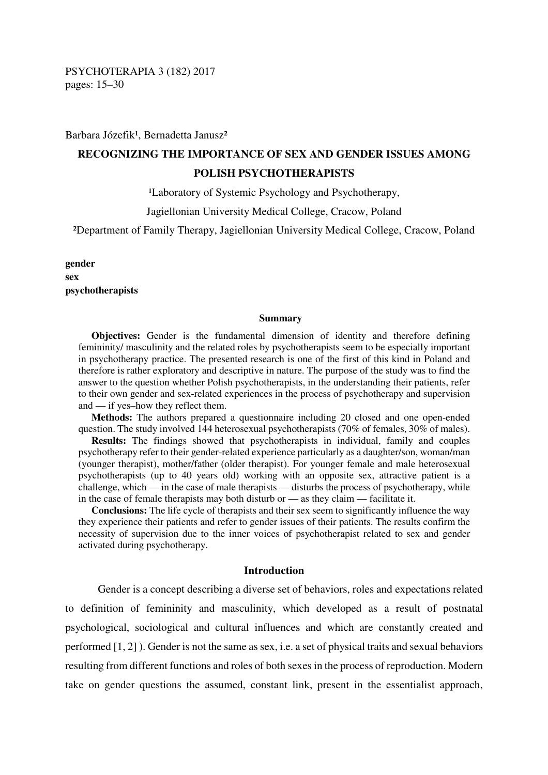Barbara Józefik<sup>1</sup>, Bernadetta Janusz<sup>2</sup>

# **RECOGNIZING THE IMPORTANCE OF SEX AND GENDER ISSUES AMONG POLISH PSYCHOTHERAPISTS**

<sup>1</sup>Laboratory of Systemic Psychology and Psychotherapy,

Jagiellonian University Medical College, Cracow, Poland

²Department of Family Therapy, Jagiellonian University Medical College, Cracow, Poland

**gender sex psychotherapists** 

#### **Summary**

**Objectives:** Gender is the fundamental dimension of identity and therefore defining femininity/ masculinity and the related roles by psychotherapists seem to be especially important in psychotherapy practice. The presented research is one of the first of this kind in Poland and therefore is rather exploratory and descriptive in nature. The purpose of the study was to find the answer to the question whether Polish psychotherapists, in the understanding their patients, refer to their own gender and sex-related experiences in the process of psychotherapy and supervision and — if yes–how they reflect them.

**Methods:** The authors prepared a questionnaire including 20 closed and one open-ended question. The study involved 144 heterosexual psychotherapists (70% of females,  $30\%$  of males).

**Results:** The findings showed that psychotherapists in individual, family and couples psychotherapy refer to their gender-related experience particularly as a daughter/son, woman/man (younger therapist), mother/father (older therapist). For younger female and male heterosexual psychotherapists (up to 40 years old) working with an opposite sex, attractive patient is a challenge, which — in the case of male therapists — disturbs the process of psychotherapy, while in the case of female therapists may both disturb or — as they claim — facilitate it.

**Conclusions:** The life cycle of therapists and their sex seem to significantly influence the way they experience their patients and refer to gender issues of their patients. The results confirm the necessity of supervision due to the inner voices of psychotherapist related to sex and gender activated during psychotherapy.

#### **Introduction**

Gender is a concept describing a diverse set of behaviors, roles and expectations related to definition of femininity and masculinity, which developed as a result of postnatal psychological, sociological and cultural influences and which are constantly created and performed [1, 2] ). Gender is not the same as sex, i.e. a set of physical traits and sexual behaviors resulting from different functions and roles of both sexes in the process of reproduction. Modern take on gender questions the assumed, constant link, present in the essentialist approach,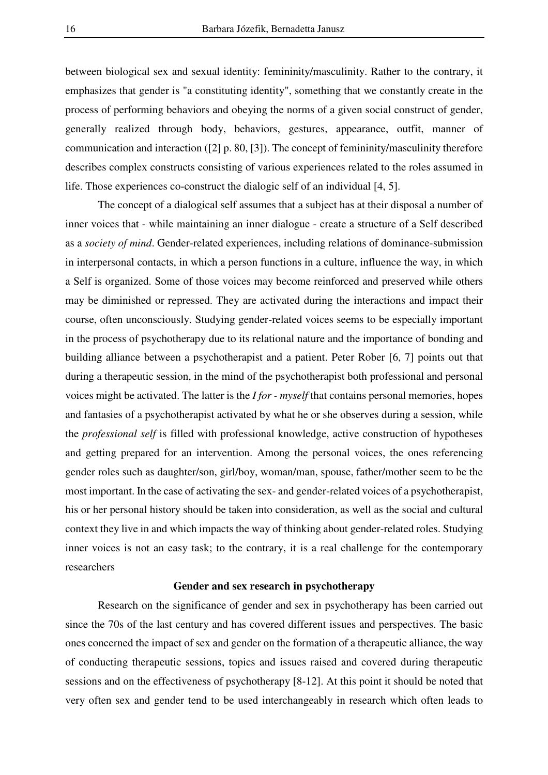between biological sex and sexual identity: femininity/masculinity. Rather to the contrary, it emphasizes that gender is "a constituting identity", something that we constantly create in the process of performing behaviors and obeying the norms of a given social construct of gender, generally realized through body, behaviors, gestures, appearance, outfit, manner of communication and interaction ([2] p. 80, [3]). The concept of femininity/masculinity therefore describes complex constructs consisting of various experiences related to the roles assumed in life. Those experiences co-construct the dialogic self of an individual [4, 5].

The concept of a dialogical self assumes that a subject has at their disposal a number of inner voices that - while maintaining an inner dialogue - create a structure of a Self described as a *society of mind*. Gender-related experiences, including relations of dominance-submission in interpersonal contacts, in which a person functions in a culture, influence the way, in which a Self is organized. Some of those voices may become reinforced and preserved while others may be diminished or repressed. They are activated during the interactions and impact their course, often unconsciously. Studying gender-related voices seems to be especially important in the process of psychotherapy due to its relational nature and the importance of bonding and building alliance between a psychotherapist and a patient. Peter Rober [6, 7] points out that during a therapeutic session, in the mind of the psychotherapist both professional and personal voices might be activated. The latter is the *I for - myself* that contains personal memories, hopes and fantasies of a psychotherapist activated by what he or she observes during a session, while the *professional self* is filled with professional knowledge, active construction of hypotheses and getting prepared for an intervention. Among the personal voices, the ones referencing gender roles such as daughter/son, girl/boy, woman/man, spouse, father/mother seem to be the most important. In the case of activating the sex- and gender-related voices of a psychotherapist, his or her personal history should be taken into consideration, as well as the social and cultural context they live in and which impacts the way of thinking about gender-related roles. Studying inner voices is not an easy task; to the contrary, it is a real challenge for the contemporary researchers

## **Gender and sex research in psychotherapy**

Research on the significance of gender and sex in psychotherapy has been carried out since the 70s of the last century and has covered different issues and perspectives. The basic ones concerned the impact of sex and gender on the formation of a therapeutic alliance, the way of conducting therapeutic sessions, topics and issues raised and covered during therapeutic sessions and on the effectiveness of psychotherapy [8-12]. At this point it should be noted that very often sex and gender tend to be used interchangeably in research which often leads to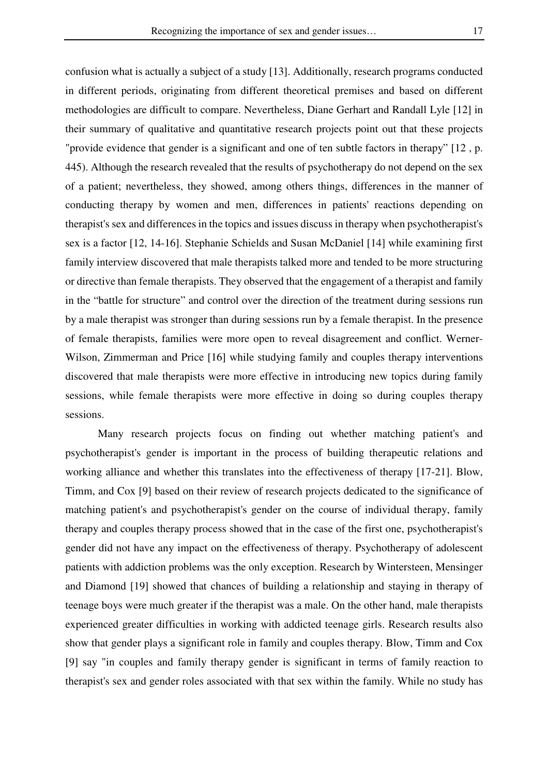confusion what is actually a subject of a study [13]. Additionally, research programs conducted in different periods, originating from different theoretical premises and based on different methodologies are difficult to compare. Nevertheless, Diane Gerhart and Randall Lyle [12] in their summary of qualitative and quantitative research projects point out that these projects "provide evidence that gender is a significant and one of ten subtle factors in therapy" [12 , p. 445). Although the research revealed that the results of psychotherapy do not depend on the sex of a patient; nevertheless, they showed, among others things, differences in the manner of conducting therapy by women and men, differences in patients' reactions depending on therapist's sex and differences in the topics and issues discuss in therapy when psychotherapist's sex is a factor [12, 14-16]. Stephanie Schields and Susan McDaniel [14] while examining first family interview discovered that male therapists talked more and tended to be more structuring or directive than female therapists. They observed that the engagement of a therapist and family in the "battle for structure" and control over the direction of the treatment during sessions run by a male therapist was stronger than during sessions run by a female therapist. In the presence of female therapists, families were more open to reveal disagreement and conflict. Werner-Wilson, Zimmerman and Price [16] while studying family and couples therapy interventions discovered that male therapists were more effective in introducing new topics during family sessions, while female therapists were more effective in doing so during couples therapy sessions.

Many research projects focus on finding out whether matching patient's and psychotherapist's gender is important in the process of building therapeutic relations and working alliance and whether this translates into the effectiveness of therapy [17-21]. Blow, Timm, and Cox [9] based on their review of research projects dedicated to the significance of matching patient's and psychotherapist's gender on the course of individual therapy, family therapy and couples therapy process showed that in the case of the first one, psychotherapist's gender did not have any impact on the effectiveness of therapy. Psychotherapy of adolescent patients with addiction problems was the only exception. Research by Wintersteen, Mensinger and Diamond [19] showed that chances of building a relationship and staying in therapy of teenage boys were much greater if the therapist was a male. On the other hand, male therapists experienced greater difficulties in working with addicted teenage girls. Research results also show that gender plays a significant role in family and couples therapy. Blow, Timm and Cox [9] say "in couples and family therapy gender is significant in terms of family reaction to therapist's sex and gender roles associated with that sex within the family. While no study has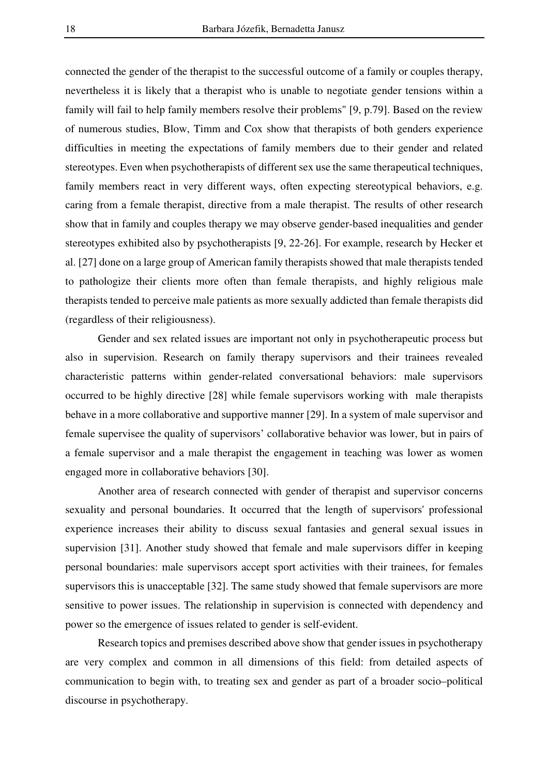connected the gender of the therapist to the successful outcome of a family or couples therapy, nevertheless it is likely that a therapist who is unable to negotiate gender tensions within a family will fail to help family members resolve their problems" [9, p.79]. Based on the review of numerous studies, Blow, Timm and Cox show that therapists of both genders experience difficulties in meeting the expectations of family members due to their gender and related stereotypes. Even when psychotherapists of different sex use the same therapeutical techniques, family members react in very different ways, often expecting stereotypical behaviors, e.g. caring from a female therapist, directive from a male therapist. The results of other research show that in family and couples therapy we may observe gender-based inequalities and gender stereotypes exhibited also by psychotherapists [9, 22-26]. For example, research by Hecker et al. [27] done on a large group of American family therapists showed that male therapists tended to pathologize their clients more often than female therapists, and highly religious male therapists tended to perceive male patients as more sexually addicted than female therapists did (regardless of their religiousness).

Gender and sex related issues are important not only in psychotherapeutic process but also in supervision. Research on family therapy supervisors and their trainees revealed characteristic patterns within gender-related conversational behaviors: male supervisors occurred to be highly directive [28] while female supervisors working with male therapists behave in a more collaborative and supportive manner [29]. In a system of male supervisor and female supervisee the quality of supervisors' collaborative behavior was lower, but in pairs of a female supervisor and a male therapist the engagement in teaching was lower as women engaged more in collaborative behaviors [30].

Another area of research connected with gender of therapist and supervisor concerns sexuality and personal boundaries. It occurred that the length of supervisors' professional experience increases their ability to discuss sexual fantasies and general sexual issues in supervision [31]. Another study showed that female and male supervisors differ in keeping personal boundaries: male supervisors accept sport activities with their trainees, for females supervisors this is unacceptable [32]. The same study showed that female supervisors are more sensitive to power issues. The relationship in supervision is connected with dependency and power so the emergence of issues related to gender is self-evident.

Research topics and premises described above show that gender issues in psychotherapy are very complex and common in all dimensions of this field: from detailed aspects of communication to begin with, to treating sex and gender as part of a broader socio–political discourse in psychotherapy.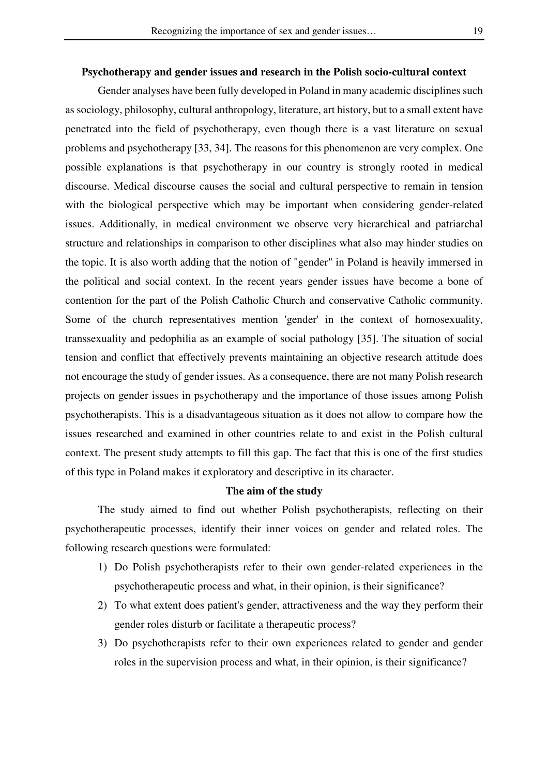#### **Psychotherapy and gender issues and research in the Polish socio-cultural context**

 Gender analyses have been fully developed in Poland in many academic disciplines such as sociology, philosophy, cultural anthropology, literature, art history, but to a small extent have penetrated into the field of psychotherapy, even though there is a vast literature on sexual problems and psychotherapy [33, 34]. The reasons for this phenomenon are very complex. One possible explanations is that psychotherapy in our country is strongly rooted in medical discourse. Medical discourse causes the social and cultural perspective to remain in tension with the biological perspective which may be important when considering gender-related issues. Additionally, in medical environment we observe very hierarchical and patriarchal structure and relationships in comparison to other disciplines what also may hinder studies on the topic. It is also worth adding that the notion of "gender" in Poland is heavily immersed in the political and social context. In the recent years gender issues have become a bone of contention for the part of the Polish Catholic Church and conservative Catholic community. Some of the church representatives mention 'gender' in the context of homosexuality, transsexuality and pedophilia as an example of social pathology [35]. The situation of social tension and conflict that effectively prevents maintaining an objective research attitude does not encourage the study of gender issues. As a consequence, there are not many Polish research projects on gender issues in psychotherapy and the importance of those issues among Polish psychotherapists. This is a disadvantageous situation as it does not allow to compare how the issues researched and examined in other countries relate to and exist in the Polish cultural context. The present study attempts to fill this gap. The fact that this is one of the first studies of this type in Poland makes it exploratory and descriptive in its character.

## **The aim of the study**

The study aimed to find out whether Polish psychotherapists, reflecting on their psychotherapeutic processes, identify their inner voices on gender and related roles. The following research questions were formulated:

- 1) Do Polish psychotherapists refer to their own gender-related experiences in the psychotherapeutic process and what, in their opinion, is their significance?
- 2) To what extent does patient's gender, attractiveness and the way they perform their gender roles disturb or facilitate a therapeutic process?
- 3) Do psychotherapists refer to their own experiences related to gender and gender roles in the supervision process and what, in their opinion, is their significance?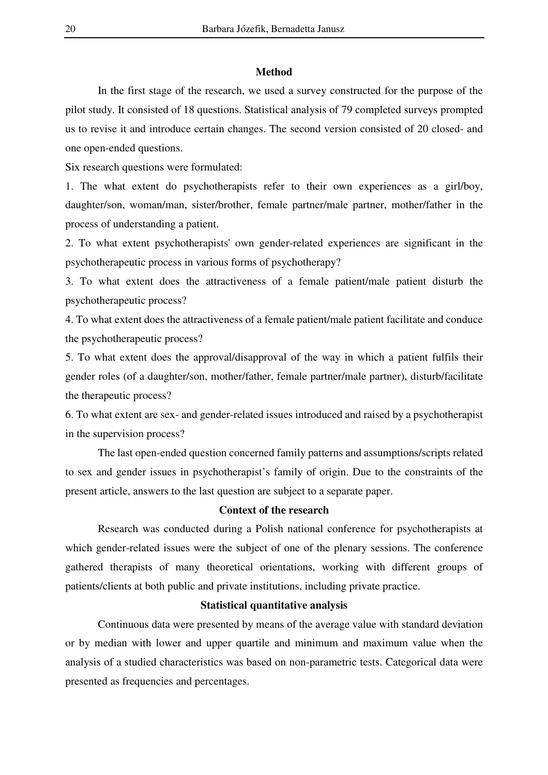#### **Method**

 In the first stage of the research, we used a survey constructed for the purpose of the pilot study. It consisted of 18 questions. Statistical analysis of 79 completed surveys prompted us to revise it and introduce certain changes. The second version consisted of 20 closed- and one open-ended questions.

Six research questions were formulated:

1. The what extent do psychotherapists refer to their own experiences as a girl/boy, daughter/son, woman/man, sister/brother, female partner/male partner, mother/father in the process of understanding a patient.

2. To what extent psychotherapists' own gender-related experiences are significant in the psychotherapeutic process in various forms of psychotherapy?

3. To what extent does the attractiveness of a female patient/male patient disturb the psychotherapeutic process?

4. To what extent does the attractiveness of a female patient/male patient facilitate and conduce the psychotherapeutic process?

5. To what extent does the approval/disapproval of the way in which a patient fulfils their gender roles (of a daughter/son, mother/father, female partner/male partner), disturb/facilitate the therapeutic process?

6. To what extent are sex- and gender-related issues introduced and raised by a psychotherapist in the supervision process?

 The last open-ended question concerned family patterns and assumptions/scripts related to sex and gender issues in psychotherapist's family of origin. Due to the constraints of the present article, answers to the last question are subject to a separate paper.

## **Context of the research**

 Research was conducted during a Polish national conference for psychotherapists at which gender-related issues were the subject of one of the plenary sessions. The conference gathered therapists of many theoretical orientations, working with different groups of patients/clients at both public and private institutions, including private practice.

## **Statistical quantitative analysis**

 Continuous data were presented by means of the average value with standard deviation or by median with lower and upper quartile and minimum and maximum value when the analysis of a studied characteristics was based on non-parametric tests. Categorical data were presented as frequencies and percentages.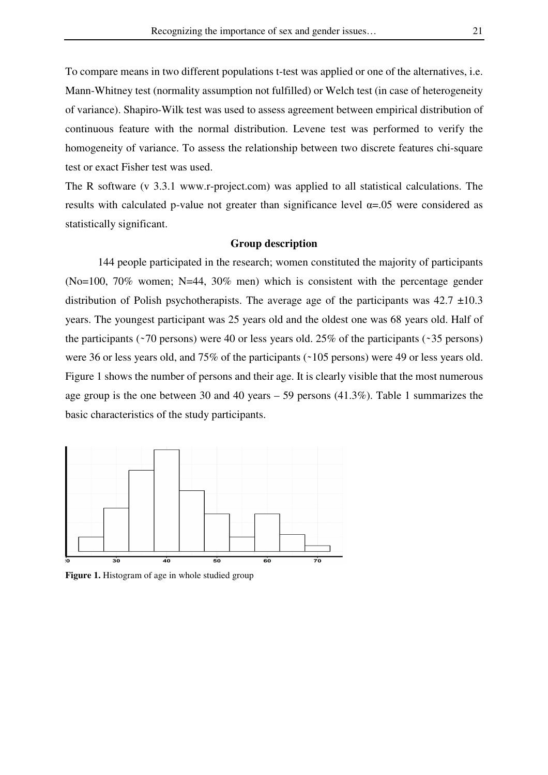To compare means in two different populations t-test was applied or one of the alternatives, i.e. Mann-Whitney test (normality assumption not fulfilled) or Welch test (in case of heterogeneity of variance). Shapiro-Wilk test was used to assess agreement between empirical distribution of continuous feature with the normal distribution. Levene test was performed to verify the homogeneity of variance. To assess the relationship between two discrete features chi-square test or exact Fisher test was used.

The R software (v 3.3.1 www.r-project.com) was applied to all statistical calculations. The results with calculated p-value not greater than significance level  $\alpha$ =.05 were considered as statistically significant.

## **Group description**

144 people participated in the research; women constituted the majority of participants (No=100, 70% women; N=44, 30% men) which is consistent with the percentage gender distribution of Polish psychotherapists. The average age of the participants was  $42.7 \pm 10.3$ years. The youngest participant was 25 years old and the oldest one was 68 years old. Half of the participants ( $\sim$ 70 persons) were 40 or less years old. 25% of the participants ( $\sim$ 35 persons) were 36 or less years old, and  $75\%$  of the participants ( $\sim$ 105 persons) were 49 or less years old. Figure 1 shows the number of persons and their age. It is clearly visible that the most numerous age group is the one between 30 and 40 years – 59 persons (41.3%). Table 1 summarizes the basic characteristics of the study participants.



**Figure 1.** Histogram of age in whole studied group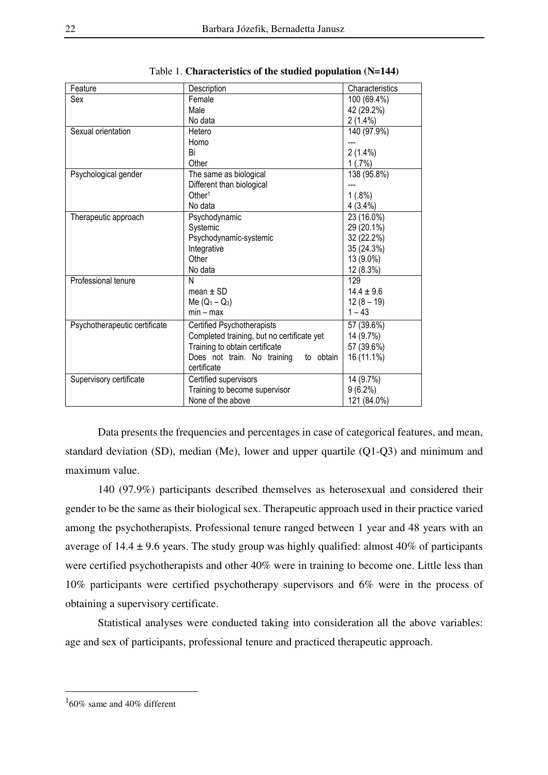| Feature                       | Description                                | Characteristics |
|-------------------------------|--------------------------------------------|-----------------|
| Sex                           | Female                                     | 100 (69.4%)     |
|                               | Male                                       | 42 (29.2%)      |
|                               | No data                                    | $2(1.4\%)$      |
| Sexual orientation            | Hetero                                     | 140 (97.9%)     |
|                               | Homo                                       |                 |
|                               | Bi                                         | $2(1.4\%)$      |
|                               | Other                                      | 1(.7%)          |
| Psychological gender          | The same as biological                     | 138 (95.8%)     |
|                               | Different than biological                  |                 |
|                               | Other <sup>1</sup>                         | 1(.8%)          |
|                               | No data                                    | 4 (3.4%)        |
| Therapeutic approach          | Psychodynamic                              | 23 (16.0%)      |
|                               | Systemic                                   | 29 (20.1%)      |
|                               | Psychodynamic-systemic                     | 32 (22.2%)      |
|                               | Integrative                                | 35 (24.3%)      |
|                               | Other                                      | 13 (9.0%)       |
|                               | No data                                    | 12 (8.3%)       |
| Professional tenure           | N                                          | 129             |
|                               | mean $\pm$ SD                              | $14.4 \pm 9.6$  |
|                               | Me $(Q_1 - Q_3)$                           | $12(8 - 19)$    |
|                               | $min - max$                                | $1 - 43$        |
| Psychotherapeutic certificate | <b>Certified Psychotherapists</b>          | 57 (39.6%)      |
|                               | Completed training, but no certificate yet | 14 (9.7%)       |
|                               | Training to obtain certificate             | 57 (39.6%)      |
|                               | Does not train. No training<br>to obtain   | 16 (11.1%)      |
|                               | certificate                                |                 |
| Supervisory certificate       | Certified supervisors                      | 14 (9.7%)       |
|                               | Training to become supervisor              | $9(6.2\%)$      |
|                               | None of the above                          | 121 (84.0%)     |
|                               |                                            |                 |

|  | Table 1. Characteristics of the studied population (N=144) |  |  |  |  |
|--|------------------------------------------------------------|--|--|--|--|
|--|------------------------------------------------------------|--|--|--|--|

Data presents the frequencies and percentages in case of categorical features, and mean, standard deviation (SD), median (Me), lower and upper quartile (Q1-Q3) and minimum and maximum value.

140 (97.9%) participants described themselves as heterosexual and considered their gender to be the same as their biological sex. Therapeutic approach used in their practice varied among the psychotherapists. Professional tenure ranged between 1 year and 48 years with an average of  $14.4 \pm 9.6$  years. The study group was highly qualified: almost 40% of participants were certified psychotherapists and other 40% were in training to become one. Little less than 10% participants were certified psychotherapy supervisors and 6% were in the process of obtaining a supervisory certificate.

 Statistical analyses were conducted taking into consideration all the above variables: age and sex of participants, professional tenure and practiced therapeutic approach.

 $\overline{a}$ 

 $160\%$  same and 40% different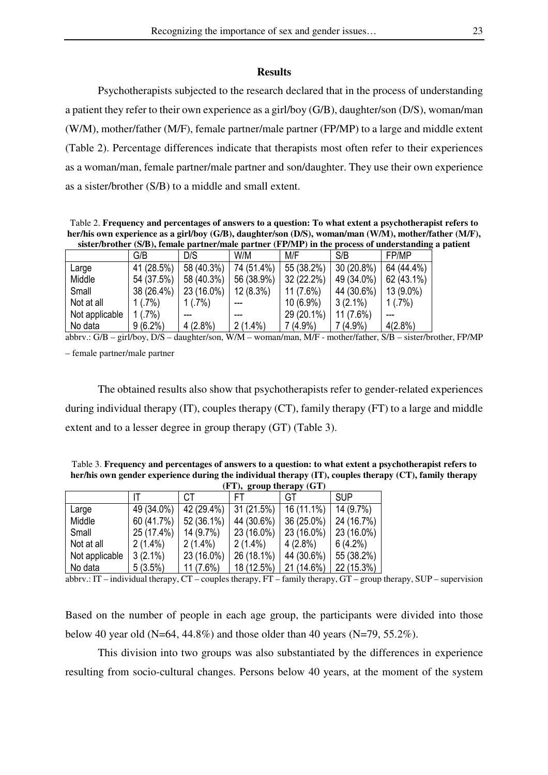#### **Results**

 Psychotherapists subjected to the research declared that in the process of understanding a patient they refer to their own experience as a girl/boy (G/B), daughter/son (D/S), woman/man (W/M), mother/father (M/F), female partner/male partner (FP/MP) to a large and middle extent (Table 2). Percentage differences indicate that therapists most often refer to their experiences as a woman/man, female partner/male partner and son/daughter. They use their own experience as a sister/brother (S/B) to a middle and small extent.

Table 2. **Frequency and percentages of answers to a question: To what extent a psychotherapist refers to her/his own experience as a girl/boy (G/B), daughter/son (D/S), woman/man (W/M), mother/father (M/F), sister/brother (S/B), female partner/male partner (FP/MP) in the process of understanding a patient** 

|                | G/B        | D/S        | W/M         | M/F         | S/B         | FP/MP      |
|----------------|------------|------------|-------------|-------------|-------------|------------|
| Large          | 41 (28.5%) | 58 (40.3%) | 74 (51.4%)  | 55 (38.2%)  | 30 (20.8%)  | 64 (44.4%) |
| Middle         | 54 (37.5%) | 58 (40.3%) | 56 (38.9%)  | 32 (22.2%)  | 49 (34.0%)  | 62 (43.1%) |
| Small          | 38 (26.4%) | 23 (16.0%) | $12(8.3\%)$ | $11(7.6\%)$ | 44 (30.6%)  | 13 (9.0%)  |
| Not at all     | 1(.7%)     | 1(.7%)     |             | $10(6.9\%)$ | $3(2.1\%)$  | 1(.7%)     |
| Not applicable | 1(.7%)     |            |             | 29 (20.1%)  | $11(7.6\%)$ |            |
| No data        | $9(6.2\%)$ | $4(2.8\%)$ | $2(1.4\%)$  | $7(4.9\%)$  | $7(4.9\%)$  | $4(2.8\%)$ |

abbrv.: G/B – girl/boy, D/S – daughter/son, W/M – woman/man, M/F - mother/father, S/B – sister/brother, FP/MP – female partner/male partner

 The obtained results also show that psychotherapists refer to gender-related experiences during individual therapy (IT), couples therapy (CT), family therapy (FT) to a large and middle extent and to a lesser degree in group therapy (GT) (Table 3).

Table 3. **Frequency and percentages of answers to a question: to what extent a psychotherapist refers to her/his own gender experience during the individual therapy (IT), couples therapy (CT), family therapy**

|                | (FT), group therapy (GT) |             |            |            |            |
|----------------|--------------------------|-------------|------------|------------|------------|
|                |                          | СT          | FТ         | GT         | <b>SUP</b> |
| Large          | 49 (34.0%)               | 42 (29.4%)  | 31(21.5%)  | 16 (11.1%) | 14 (9.7%)  |
| Middle         | 60 (41.7%)               | 52 (36.1%)  | 44 (30.6%) | 36 (25.0%) | 24 (16.7%) |
| Small          | 25 (17.4%)               | 14 (9.7%)   | 23 (16.0%) | 23 (16.0%) | 23 (16.0%) |
| Not at all     | $2(1.4\%)$               | $2(1.4\%)$  | $2(1.4\%)$ | $4(2.8\%)$ | $6(4.2\%)$ |
| Not applicable | $3(2.1\%)$               | 23 (16.0%)  | 26 (18.1%) | 44 (30.6%) | 55 (38.2%) |
| No data        | 5(3.5%)                  | $11(7.6\%)$ | 18 (12.5%) | 21 (14.6%) | 22 (15.3%) |

abbrv.: IT – individual therapy, CT – couples therapy, FT – family therapy, GT – group therapy, SUP – supervision

Based on the number of people in each age group, the participants were divided into those below 40 year old (N=64, 44.8%) and those older than 40 years (N=79, 55.2%).

 This division into two groups was also substantiated by the differences in experience resulting from socio-cultural changes. Persons below 40 years, at the moment of the system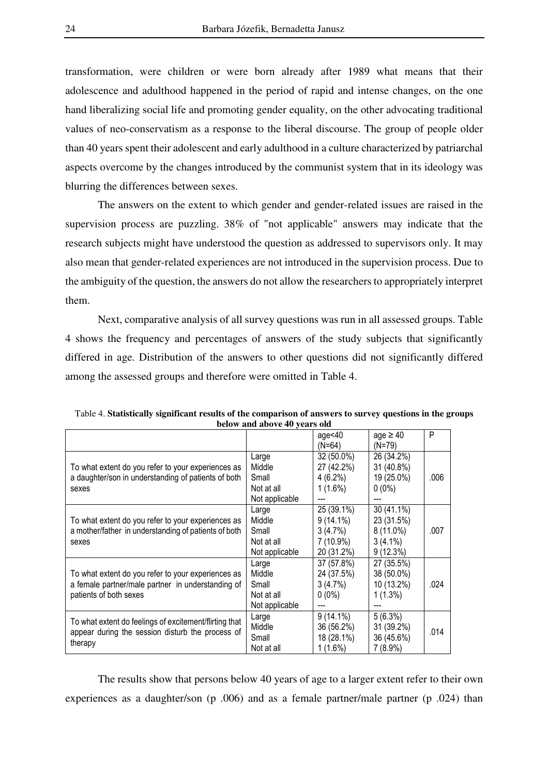transformation, were children or were born already after 1989 what means that their adolescence and adulthood happened in the period of rapid and intense changes, on the one hand liberalizing social life and promoting gender equality, on the other advocating traditional values of neo-conservatism as a response to the liberal discourse. The group of people older than 40 years spent their adolescent and early adulthood in a culture characterized by patriarchal aspects overcome by the changes introduced by the communist system that in its ideology was blurring the differences between sexes.

The answers on the extent to which gender and gender-related issues are raised in the supervision process are puzzling. 38% of "not applicable" answers may indicate that the research subjects might have understood the question as addressed to supervisors only. It may also mean that gender-related experiences are not introduced in the supervision process. Due to the ambiguity of the question, the answers do not allow the researchers to appropriately interpret them.

Next, comparative analysis of all survey questions was run in all assessed groups. Table 4 shows the frequency and percentages of answers of the study subjects that significantly differed in age. Distribution of the answers to other questions did not significantly differed among the assessed groups and therefore were omitted in Table 4.

|                                                        | below and above <del>t</del> o years old |             |               |      |
|--------------------------------------------------------|------------------------------------------|-------------|---------------|------|
|                                                        |                                          | age $<40$   | age $\geq 40$ | P    |
|                                                        |                                          | $(N=64)$    | (N=79)        |      |
|                                                        | Large                                    | 32 (50.0%)  | 26 (34.2%)    |      |
| To what extent do you refer to your experiences as     | Middle                                   | 27 (42.2%)  | 31 (40.8%)    |      |
| a daughter/son in understanding of patients of both    | Small                                    | $4(6.2\%)$  | 19 (25.0%)    | .006 |
| sexes                                                  | Not at all                               | $1(1.6\%)$  | $0(0\%)$      |      |
|                                                        | Not applicable                           |             |               |      |
|                                                        | Large                                    | 25 (39.1%)  | 30 (41.1%)    |      |
| To what extent do you refer to your experiences as     | Middle                                   | $9(14.1\%)$ | 23 (31.5%)    |      |
| a mother/father in understanding of patients of both   | Small                                    | 3(4.7%)     | $8(11.0\%)$   | .007 |
| sexes                                                  | Not at all                               | 7 (10.9%)   | $3(4.1\%)$    |      |
|                                                        | Not applicable                           | 20 (31.2%)  | 9(12.3%)      |      |
|                                                        | Large                                    | 37 (57.8%)  | 27 (35.5%)    |      |
| To what extent do you refer to your experiences as     | Middle                                   | 24 (37.5%)  | 38 (50.0%)    |      |
| a female partner/male partner in understanding of      | Small                                    | 3(4.7%)     | 10 (13.2%)    | .024 |
| patients of both sexes                                 | Not at all                               | $0(0\%)$    | $1(1.3\%)$    |      |
|                                                        | Not applicable                           |             |               |      |
|                                                        | Large                                    | $9(14.1\%)$ | 5(6.3%)       |      |
| To what extent do feelings of excitement/flirting that | Middle                                   | 36 (56.2%)  | 31 (39.2%)    | .014 |
| appear during the session disturb the process of       | Small                                    | 18 (28.1%)  | 36 (45.6%)    |      |
| therapy                                                | Not at all                               | $1(1.6\%)$  | $7(8.9\%)$    |      |

Table 4. **Statistically significant results of the comparison of answers to survey questions in the groups below and above 40 years old** 

 The results show that persons below 40 years of age to a larger extent refer to their own experiences as a daughter/son (p .006) and as a female partner/male partner (p .024) than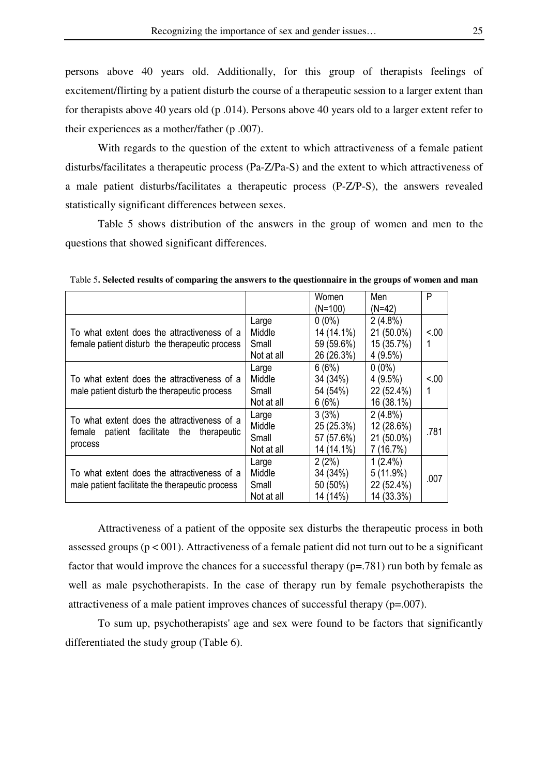persons above 40 years old. Additionally, for this group of therapists feelings of excitement/flirting by a patient disturb the course of a therapeutic session to a larger extent than for therapists above 40 years old (p .014). Persons above 40 years old to a larger extent refer to their experiences as a mother/father (p .007).

With regards to the question of the extent to which attractiveness of a female patient disturbs/facilitates a therapeutic process (Pa-Z/Pa-S) and the extent to which attractiveness of a male patient disturbs/facilitates a therapeutic process (P-Z/P-S), the answers revealed statistically significant differences between sexes.

Table 5 shows distribution of the answers in the group of women and men to the questions that showed significant differences.

|                                                 |            | Women      | Men        | P      |
|-------------------------------------------------|------------|------------|------------|--------|
|                                                 |            | (N=100)    | $(N=42)$   |        |
|                                                 | Large      | $0(0\%)$   | $2(4.8\%)$ |        |
| To what extent does the attractiveness of a     | Middle     | 14 (14.1%) | 21 (50.0%) | < 0.00 |
| female patient disturb the therapeutic process  | Small      | 59 (59.6%) | 15 (35.7%) |        |
|                                                 | Not at all | 26 (26.3%) | $4(9.5\%)$ |        |
|                                                 | Large      | 6(6%)      | $0(0\%)$   |        |
| To what extent does the attractiveness of a     | Middle     | 34 (34%)   | 4 (9.5%)   | < 0.00 |
| male patient disturb the therapeutic process    | Small      | 54 (54%)   | 22 (52.4%) |        |
|                                                 | Not at all | 6(6%)      | 16 (38.1%) |        |
| To what extent does the attractiveness of a     | Large      | 3(3%)      | $2(4.8\%)$ |        |
| patient facilitate the                          | Middle     | 25 (25.3%) | 12 (28.6%) | .781   |
| female<br>therapeutic                           | Small      | 57 (57.6%) | 21 (50.0%) |        |
| process                                         | Not at all | 14 (14.1%) | 7(16.7%)   |        |
|                                                 | Large      | 2(2%)      | $1(2.4\%)$ |        |
| To what extent does the attractiveness of a     | Middle     | 34 (34%)   | 5(11.9%)   | .007   |
| male patient facilitate the therapeutic process | Small      | 50 (50%)   | 22 (52.4%) |        |
|                                                 | Not at all | 14 (14%)   | 14 (33.3%) |        |

Table 5**. Selected results of comparing the answers to the questionnaire in the groups of women and man** 

 Attractiveness of a patient of the opposite sex disturbs the therapeutic process in both assessed groups ( $p < 001$ ). Attractiveness of a female patient did not turn out to be a significant factor that would improve the chances for a successful therapy (p=.781) run both by female as well as male psychotherapists. In the case of therapy run by female psychotherapists the attractiveness of a male patient improves chances of successful therapy  $(p=.007)$ .

 To sum up, psychotherapists' age and sex were found to be factors that significantly differentiated the study group (Table 6).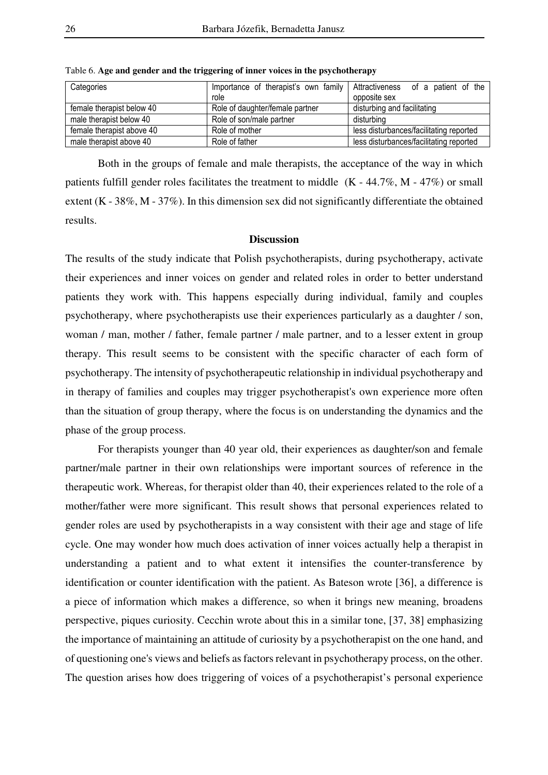| Categories                | role                            | Importance of therapist's own family Attractiveness of a patient of the<br>opposite sex |
|---------------------------|---------------------------------|-----------------------------------------------------------------------------------------|
| female therapist below 40 | Role of daughter/female partner | disturbing and facilitating                                                             |
| male therapist below 40   | Role of son/male partner        | disturbing                                                                              |
| female therapist above 40 | Role of mother                  | less disturbances/facilitating reported                                                 |
| male therapist above 40   | Role of father                  | less disturbances/facilitating reported                                                 |

Table 6. **Age and gender and the triggering of inner voices in the psychotherapy** 

 Both in the groups of female and male therapists, the acceptance of the way in which patients fulfill gender roles facilitates the treatment to middle (K - 44.7%, M - 47%) or small extent (K - 38%, M - 37%). In this dimension sex did not significantly differentiate the obtained results.

## **Discussion**

The results of the study indicate that Polish psychotherapists, during psychotherapy, activate their experiences and inner voices on gender and related roles in order to better understand patients they work with. This happens especially during individual, family and couples psychotherapy, where psychotherapists use their experiences particularly as a daughter / son, woman / man, mother / father, female partner / male partner, and to a lesser extent in group therapy. This result seems to be consistent with the specific character of each form of psychotherapy. The intensity of psychotherapeutic relationship in individual psychotherapy and in therapy of families and couples may trigger psychotherapist's own experience more often than the situation of group therapy, where the focus is on understanding the dynamics and the phase of the group process.

For therapists younger than 40 year old, their experiences as daughter/son and female partner/male partner in their own relationships were important sources of reference in the therapeutic work. Whereas, for therapist older than 40, their experiences related to the role of a mother/father were more significant. This result shows that personal experiences related to gender roles are used by psychotherapists in a way consistent with their age and stage of life cycle. One may wonder how much does activation of inner voices actually help a therapist in understanding a patient and to what extent it intensifies the counter-transference by identification or counter identification with the patient. As Bateson wrote [36], a difference is a piece of information which makes a difference, so when it brings new meaning, broadens perspective, piques curiosity. Cecchin wrote about this in a similar tone, [37, 38] emphasizing the importance of maintaining an attitude of curiosity by a psychotherapist on the one hand, and of questioning one's views and beliefs as factors relevant in psychotherapy process, on the other. The question arises how does triggering of voices of a psychotherapist's personal experience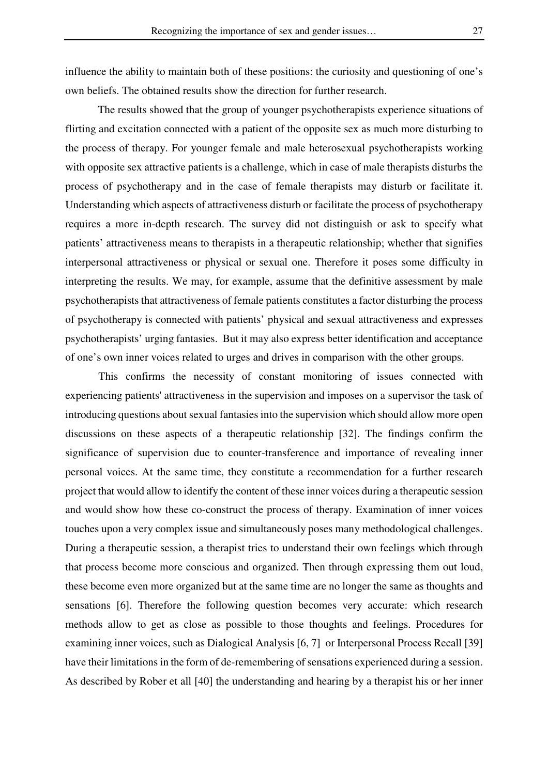influence the ability to maintain both of these positions: the curiosity and questioning of one's own beliefs. The obtained results show the direction for further research.

The results showed that the group of younger psychotherapists experience situations of flirting and excitation connected with a patient of the opposite sex as much more disturbing to the process of therapy. For younger female and male heterosexual psychotherapists working with opposite sex attractive patients is a challenge, which in case of male therapists disturbs the process of psychotherapy and in the case of female therapists may disturb or facilitate it. Understanding which aspects of attractiveness disturb or facilitate the process of psychotherapy requires a more in-depth research. The survey did not distinguish or ask to specify what patients' attractiveness means to therapists in a therapeutic relationship; whether that signifies interpersonal attractiveness or physical or sexual one. Therefore it poses some difficulty in interpreting the results. We may, for example, assume that the definitive assessment by male psychotherapists that attractiveness of female patients constitutes a factor disturbing the process of psychotherapy is connected with patients' physical and sexual attractiveness and expresses psychotherapists' urging fantasies. But it may also express better identification and acceptance of one's own inner voices related to urges and drives in comparison with the other groups.

This confirms the necessity of constant monitoring of issues connected with experiencing patients' attractiveness in the supervision and imposes on a supervisor the task of introducing questions about sexual fantasies into the supervision which should allow more open discussions on these aspects of a therapeutic relationship [32]. The findings confirm the significance of supervision due to counter-transference and importance of revealing inner personal voices. At the same time, they constitute a recommendation for a further research project that would allow to identify the content of these inner voices during a therapeutic session and would show how these co-construct the process of therapy. Examination of inner voices touches upon a very complex issue and simultaneously poses many methodological challenges. During a therapeutic session, a therapist tries to understand their own feelings which through that process become more conscious and organized. Then through expressing them out loud, these become even more organized but at the same time are no longer the same as thoughts and sensations [6]. Therefore the following question becomes very accurate: which research methods allow to get as close as possible to those thoughts and feelings. Procedures for examining inner voices, such as Dialogical Analysis [6, 7] or Interpersonal Process Recall [39] have their limitations in the form of de-remembering of sensations experienced during a session. As described by Rober et all [40] the understanding and hearing by a therapist his or her inner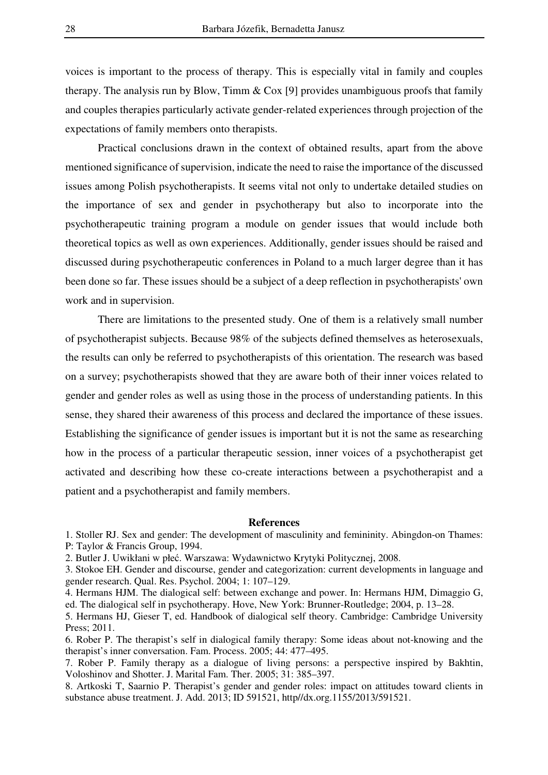voices is important to the process of therapy. This is especially vital in family and couples therapy. The analysis run by Blow, Timm  $\&$  Cox [9] provides unambiguous proofs that family and couples therapies particularly activate gender-related experiences through projection of the expectations of family members onto therapists.

Practical conclusions drawn in the context of obtained results, apart from the above mentioned significance of supervision, indicate the need to raise the importance of the discussed issues among Polish psychotherapists. It seems vital not only to undertake detailed studies on the importance of sex and gender in psychotherapy but also to incorporate into the psychotherapeutic training program a module on gender issues that would include both theoretical topics as well as own experiences. Additionally, gender issues should be raised and discussed during psychotherapeutic conferences in Poland to a much larger degree than it has been done so far. These issues should be a subject of a deep reflection in psychotherapists' own work and in supervision.

There are limitations to the presented study. One of them is a relatively small number of psychotherapist subjects. Because 98% of the subjects defined themselves as heterosexuals, the results can only be referred to psychotherapists of this orientation. The research was based on a survey; psychotherapists showed that they are aware both of their inner voices related to gender and gender roles as well as using those in the process of understanding patients. In this sense, they shared their awareness of this process and declared the importance of these issues. Establishing the significance of gender issues is important but it is not the same as researching how in the process of a particular therapeutic session, inner voices of a psychotherapist get activated and describing how these co-create interactions between a psychotherapist and a patient and a psychotherapist and family members.

#### **References**

1. Stoller RJ. Sex and gender: The development of masculinity and femininity. Abingdon-on Thames: P: Taylor & Francis Group, 1994.

2. Butler J. Uwikłani w płeć. Warszawa: Wydawnictwo Krytyki Politycznej, 2008.

3. Stokoe EH. Gender and discourse, gender and categorization: current developments in language and gender research. Qual. Res. Psychol. 2004; 1: 107–129.

4. Hermans HJM. The dialogical self: between exchange and power. In: Hermans HJM, Dimaggio G, ed. The dialogical self in psychotherapy. Hove, New York: Brunner-Routledge; 2004, p. 13–28.

5. Hermans HJ, Gieser T, ed. Handbook of dialogical self theory. Cambridge: Cambridge University Press; 2011.

6. Rober P. The therapist's self in dialogical family therapy: Some ideas about not-knowing and the therapist's inner conversation. Fam. Process. 2005; 44: 477–495.

7. Rober P. Family therapy as a dialogue of living persons: a perspective inspired by Bakhtin, Voloshinov and Shotter. J. Marital Fam. Ther. 2005; 31: 385–397.

8. Artkoski T, Saarnio P. Therapist's gender and gender roles: impact on attitudes toward clients in substance abuse treatment. J. Add. 2013; ID 591521, http//dx.org.1155/2013/591521.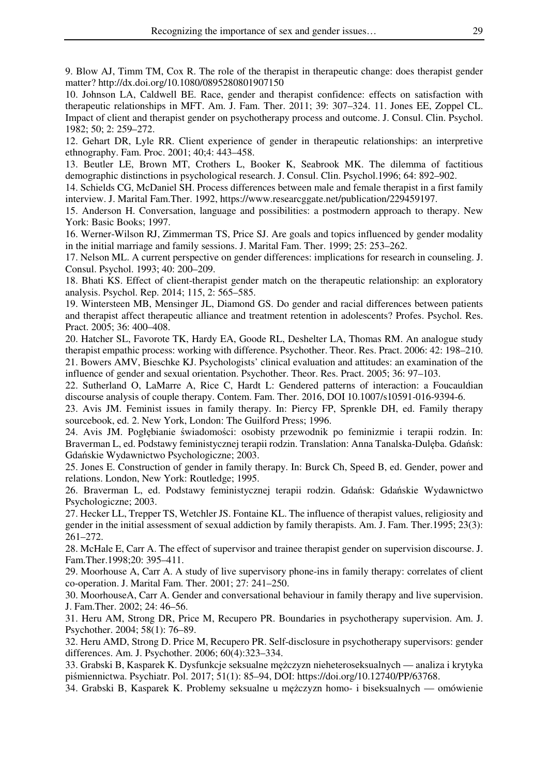9. Blow AJ, Timm TM, Cox R. The role of the therapist in therapeutic change: does therapist gender matter? http://dx.doi.org/10.1080/0895280801907150

10. Johnson LA, Caldwell BE. Race, gender and therapist confidence: effects on satisfaction with therapeutic relationships in MFT. Am. J. Fam. Ther. 2011; 39: 307–324. 11. Jones EE, Zoppel CL. Impact of client and therapist gender on psychotherapy process and outcome. J. Consul. Clin. Psychol. 1982; 50; 2: 259–272.

12. Gehart DR, Lyle RR. Client experience of gender in therapeutic relationships: an interpretive ethnography. Fam. Proc. 2001; 40;4: 443–458.

13. Beutler LE, Brown MT, Crothers L, Booker K, Seabrook MK. The dilemma of factitious demographic distinctions in psychological research. J. Consul. Clin. Psychol.1996; 64: 892–902.

14. Schields CG, McDaniel SH. Process differences between male and female therapist in a first family interview. J. Marital Fam.Ther. 1992, https://www.researcggate.net/publication/229459197.

15. Anderson H. Conversation, language and possibilities: a postmodern approach to therapy. New York: Basic Books; 1997.

16. Werner-Wilson RJ, Zimmerman TS, Price SJ. Are goals and topics influenced by gender modality in the initial marriage and family sessions. J. Marital Fam. Ther. 1999; 25: 253–262.

17. Nelson ML. A current perspective on gender differences: implications for research in counseling. J. Consul. Psychol. 1993; 40: 200–209.

18. Bhati KS. Effect of client-therapist gender match on the therapeutic relationship: an exploratory analysis. Psychol. Rep. 2014; 115, 2: 565–585.

19. Wintersteen MB, Mensinger JL, Diamond GS. Do gender and racial differences between patients and therapist affect therapeutic alliance and treatment retention in adolescents? Profes. Psychol. Res. Pract. 2005; 36: 400–408.

20. Hatcher SL, Favorote TK, Hardy EA, Goode RL, Deshelter LA, Thomas RM. An analogue study therapist empathic process: working with difference. Psychother. Theor. Res. Pract. 2006: 42: 198–210. 21. Bowers AMV, Bieschke KJ. Psychologists' clinical evaluation and attitudes: an examination of the influence of gender and sexual orientation. Psychother. Theor. Res. Pract. 2005; 36: 97–103.

22. Sutherland O, LaMarre A, Rice C, Hardt L: Gendered patterns of interaction: a Foucauldian discourse analysis of couple therapy. Contem. Fam. Ther. 2016, DOI 10.1007/s10591-016-9394-6.

23. Avis JM. Feminist issues in family therapy. In: Piercy FP, Sprenkle DH, ed. Family therapy sourcebook, ed. 2. New York, London: The Guilford Press; 1996.

24. Avis JM. Pogłębianie świadomości: osobisty przewodnik po feminizmie i terapii rodzin. In: Braverman L, ed. Podstawy feministycznej terapii rodzin. Translation: Anna Tanalska-Dulęba. Gdańsk: Gdańskie Wydawnictwo Psychologiczne; 2003.

25. Jones E. Construction of gender in family therapy. In: Burck Ch, Speed B, ed. Gender, power and relations. London, New York: Routledge; 1995.

26. Braverman L, ed. Podstawy feministycznej terapii rodzin. Gdańsk: Gdańskie Wydawnictwo Psychologiczne; 2003.

27. Hecker LL, Trepper TS, Wetchler JS. Fontaine KL. The influence of therapist values, religiosity and gender in the initial assessment of sexual addiction by family therapists. Am. J. Fam. Ther.1995; 23(3): 261–272.

28. McHale E, Carr A. The effect of supervisor and trainee therapist gender on supervision discourse. J. Fam.Ther.1998;20: 395–411.

29. Moorhouse A, Carr A. A study of live supervisory phone-ins in family therapy: correlates of client co-operation. J. Marital Fam. Ther. 2001; 27: 241–250.

30. MoorhouseA, Carr A. Gender and conversational behaviour in family therapy and live supervision. J. Fam.Ther. 2002; 24: 46–56.

31. Heru AM, Strong DR, Price M, Recupero PR. Boundaries in psychotherapy supervision. Am. J. Psychother. 2004; 58(1): 76–89.

32. Heru AMD, Strong D. Price M, Recupero PR. Self-disclosure in psychotherapy supervisors: gender differences. Am. J. Psychother. 2006; 60(4):323–334.

33. Grabski B, Kasparek K. Dysfunkcje seksualne mężczyzn nieheteroseksualnych — analiza i krytyka piśmiennictwa. Psychiatr. Pol. 2017; 51(1): 85–94, DOI: https://doi.org/10.12740/PP/63768.

34. Grabski B, Kasparek K. Problemy seksualne u mężczyzn homo- i biseksualnych — omówienie